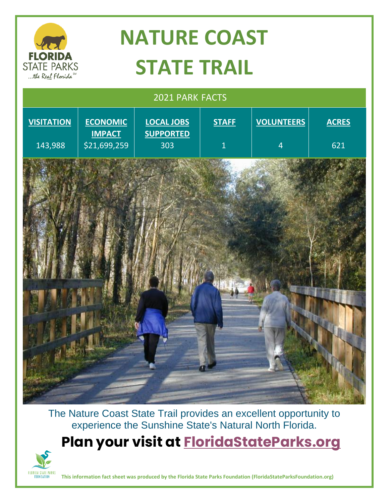

The Nature Coast State Trail provides an excellent opportunity to experience the Sunshine State's Natural North Florida.

**Plan your visit at [FloridaStateParks.org](http://www.floridastateparks.org/)**



**This information fact sheet was produced by the Florida State Parks Foundation (FloridaStateParksFoundation.org)**